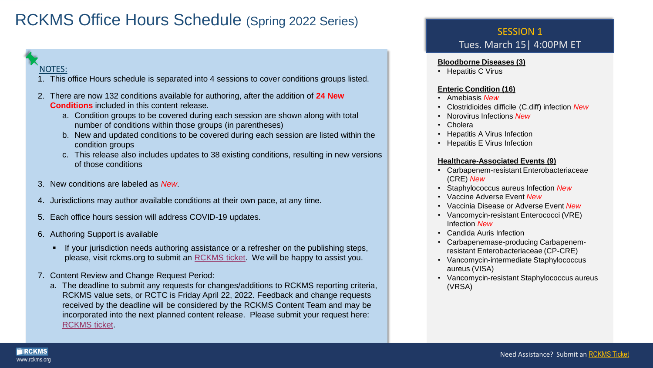# RCKMS Office Hours Schedule (Spring 2022 Series)

### NOTES:

www.rckms.org

RCKMS

- 1. This office Hours schedule is separated into 4 sessions to cover conditions groups listed.
- 2. There are now 132 conditions available for authoring, after the addition of **24 New Conditions** included in this content release.
	- a. Condition groups to be covered during each session are shown along with total number of conditions within those groups (in parentheses)
	- b. New and updated conditions to be covered during each session are listed within the condition groups
	- c. This release also includes updates to 38 existing conditions, resulting in new versions of those conditions
- 3. New conditions are labeled as *New*.
- 4. Jurisdictions may author available conditions at their own pace, at any time.
- 5. Each office hours session will address COVID-19 updates.
- 6. Authoring Support is available
	- **■** If your jurisdiction needs authoring assistance or a refresher on the publishing steps, please, visit rckms.org to submit an [RCKMS ticket.](https://cste.us6.list-manage.com/track/click?u=a74794e707a0d58b86a809758&id=82077172bb&e=ecce5ba505) We will be happy to assist you.
- 7. Content Review and Change Request Period:
	- a. The deadline to submit any requests for changes/additions to RCKMS reporting criteria, RCKMS value sets, or RCTC is Friday April 22, 2022. Feedback and change requests received by the deadline will be considered by the RCKMS Content Team and may be incorporated into the next planned content release. Please submit your request here: [RCKMS ticket.](https://cste.us6.list-manage.com/track/click?u=a74794e707a0d58b86a809758&id=82077172bb&e=ecce5ba505)

### SESSION 1 Tues. March 15| 4:00PM ET

#### **Bloodborne Diseases (3)**

• Hepatitis C Virus

#### **Enteric Condition (16)**

- Amebiasis *New*
- Clostridioides difficile (C.diff) infection *New*
- Norovirus Infections *New*
- Cholera
- Hepatitis A Virus Infection
- Hepatitis E Virus Infection

#### **Healthcare-Associated Events (9)**

- Carbapenem-resistant Enterobacteriaceae (CRE) *New*
- Staphylococcus aureus Infection *New*
- Vaccine Adverse Event *New*
- Vaccinia Disease or Adverse Event *New*
- Vancomycin-resistant Enterococci (VRE) Infection *New*
- Candida Auris Infection
- Carbapenemase-producing Carbapenemresistant Enterobacteriaceae (CP-CRE)
- Vancomycin-intermediate Staphylococcus aureus (VISA)
- Vancomycin-resistant Staphylococcus aureus (VRSA)